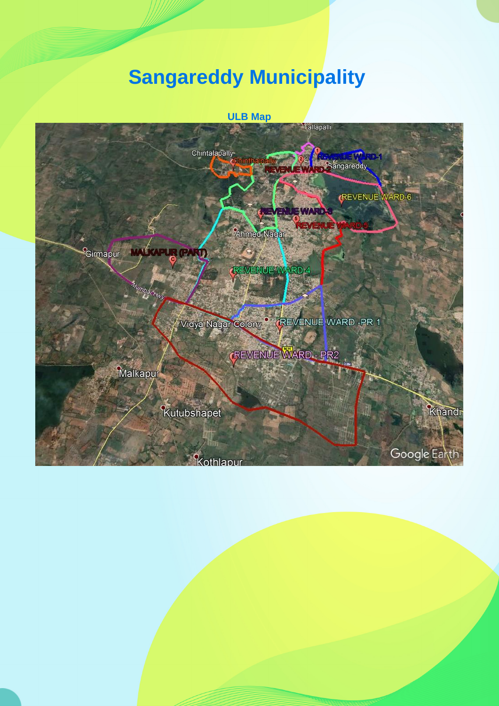## **Sangareddy Municipality**

## **ULB Map**

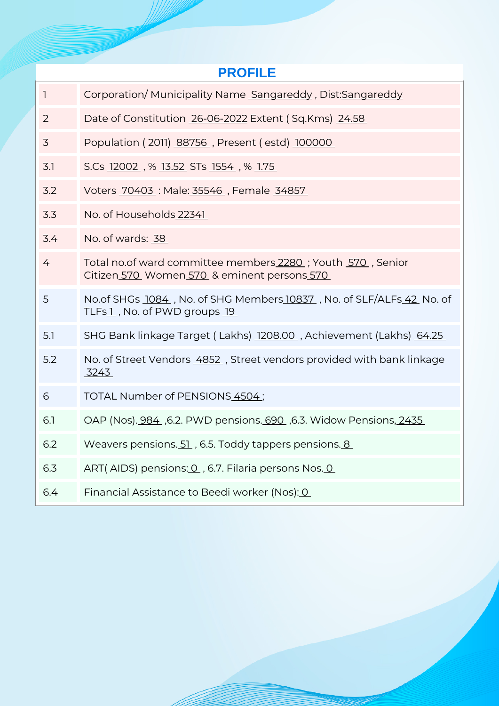| <b>PROFILE</b> |                                                                                                           |  |  |  |  |  |
|----------------|-----------------------------------------------------------------------------------------------------------|--|--|--|--|--|
| $\mathbf{1}$   | Corporation/Municipality Name Sangareddy, Dist:Sangareddy                                                 |  |  |  |  |  |
| 2              | Date of Constitution 26-06-2022 Extent (Sq.Kms) 24.58                                                     |  |  |  |  |  |
| 3              | Population (2011) 88756, Present (estd) 100000                                                            |  |  |  |  |  |
| 3.1            | S.Cs 12002, % 13.52 STs 1554, % 1.75                                                                      |  |  |  |  |  |
| 3.2            | Voters 70403: Male: 35546, Female 34857                                                                   |  |  |  |  |  |
| 3.3            | No. of Households 22341                                                                                   |  |  |  |  |  |
| 3.4            | No. of wards: 38                                                                                          |  |  |  |  |  |
| 4              | Total no.of ward committee members 2280; Youth 570, Senior<br>Citizen 570 Women 570 & eminent persons 570 |  |  |  |  |  |
| 5              | No.of SHGs 1084, No. of SHG Members 10837, No. of SLF/ALFs 42 No. of<br>TLFs1, No. of PWD groups 19       |  |  |  |  |  |
| 5.1            | SHG Bank linkage Target (Lakhs) 1208.00, Achievement (Lakhs) 64.25                                        |  |  |  |  |  |
| 5.2            | No. of Street Vendors 4852, Street vendors provided with bank linkage<br><u>3243 </u>                     |  |  |  |  |  |
| 6              | TOTAL Number of PENSIONS 4504;                                                                            |  |  |  |  |  |
| 6.1            | OAP (Nos). 984, 6.2. PWD pensions. 690, 6.3. Widow Pensions, 2435                                         |  |  |  |  |  |
| 6.2            | Weavers pensions. 51, 6.5. Toddy tappers pensions. 8                                                      |  |  |  |  |  |
| 6.3            | ART(AIDS) pensions: 0, 6.7. Filaria persons Nos. 0                                                        |  |  |  |  |  |
| 6.4            | Financial Assistance to Beedi worker (Nos): 0                                                             |  |  |  |  |  |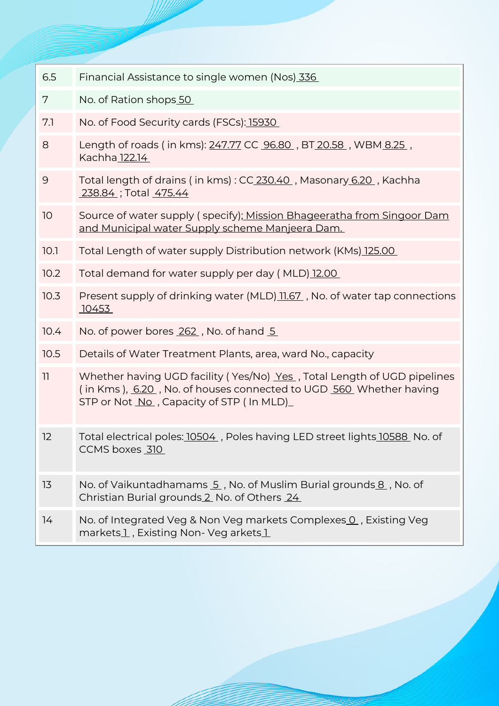| 6.5            | Financial Assistance to single women (Nos) 336                                                                                                                                          |  |  |  |  |
|----------------|-----------------------------------------------------------------------------------------------------------------------------------------------------------------------------------------|--|--|--|--|
| 7              | No. of Ration shops 50                                                                                                                                                                  |  |  |  |  |
| 7.1            | No. of Food Security cards (FSCs): 15930                                                                                                                                                |  |  |  |  |
| 8              | Length of roads (in kms): 247.77 CC 96.80, BT 20.58, WBM 8.25,<br>Kachha 122.14                                                                                                         |  |  |  |  |
| $\overline{9}$ | Total length of drains (in kms): CC 230.40, Masonary 6.20, Kachha<br>238.84 ; Total 475.44                                                                                              |  |  |  |  |
| 10             | Source of water supply (specify); Mission Bhageeratha from Singoor Dam<br>and Municipal water Supply scheme Manjeera Dam.                                                               |  |  |  |  |
| 10.1           | Total Length of water supply Distribution network (KMs) 125.00                                                                                                                          |  |  |  |  |
| 10.2           | Total demand for water supply per day (MLD) 12.00                                                                                                                                       |  |  |  |  |
| 10.3           | Present supply of drinking water (MLD) 11.67, No. of water tap connections<br>10453                                                                                                     |  |  |  |  |
| 10.4           | No. of power bores 262, No. of hand 5                                                                                                                                                   |  |  |  |  |
| 10.5           | Details of Water Treatment Plants, area, ward No., capacity                                                                                                                             |  |  |  |  |
| 11             | Whether having UGD facility (Yes/No) Yes, Total Length of UGD pipelines<br>(in Kms), 6.20, No. of houses connected to UGD 560, Whether having<br>STP or Not No capacity of STP (In MLD) |  |  |  |  |
| 12             | Total electrical poles: 10504, Poles having LED street lights 10588, No. of<br>CCMS boxes 310                                                                                           |  |  |  |  |
| 13             | No. of Vaikuntadhamams 5, No. of Muslim Burial grounds 8, No. of<br>Christian Burial grounds 2 No. of Others 24                                                                         |  |  |  |  |
| 14             | No. of Integrated Veg & Non Veg markets Complexes 0, Existing Veg<br>markets1, Existing Non- Veg arkets1                                                                                |  |  |  |  |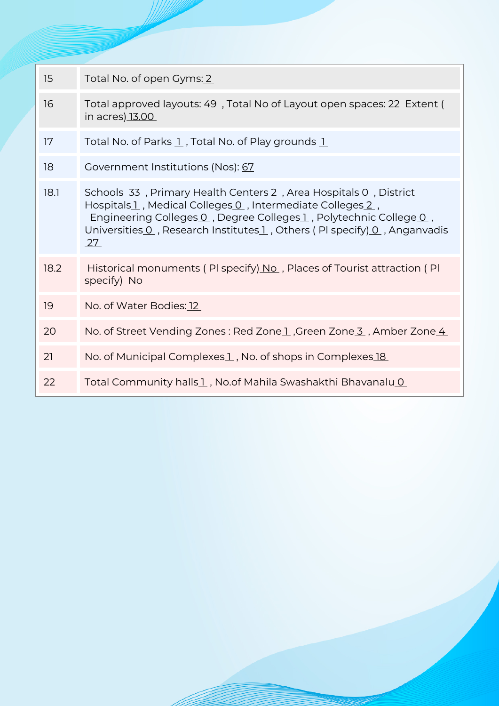| 15   | Total No. of open Gyms: 2                                                                                                                                                                                                                                                           |  |  |  |
|------|-------------------------------------------------------------------------------------------------------------------------------------------------------------------------------------------------------------------------------------------------------------------------------------|--|--|--|
| 16   | Total approved layouts: 49, Total No of Layout open spaces: 22 Extent (<br>in acres) 13.00                                                                                                                                                                                          |  |  |  |
| 17   | Total No. of Parks 1, Total No. of Play grounds 1                                                                                                                                                                                                                                   |  |  |  |
| 18   | Government Institutions (Nos): 67                                                                                                                                                                                                                                                   |  |  |  |
| 18.1 | Schools 33, Primary Health Centers 2, Area Hospitals 0, District<br>Hospitals1, Medical Colleges 0, Intermediate Colleges 2,<br>Engineering Colleges 0, Degree Colleges 1, Polytechnic College 0,<br>Universities 0, Research Institutes 1, Others (PI specify) 0, Anganvadis<br>27 |  |  |  |
| 18.2 | Historical monuments (PI specify) No., Places of Tourist attraction (PI<br>specify) No                                                                                                                                                                                              |  |  |  |
| 19   | No. of Water Bodies: 12                                                                                                                                                                                                                                                             |  |  |  |
| 20   | No. of Street Vending Zones: Red Zonel, Green Zone 3, Amber Zone 4                                                                                                                                                                                                                  |  |  |  |
| 21   | No. of Municipal Complexes 1, No. of shops in Complexes 18                                                                                                                                                                                                                          |  |  |  |
| 22   | Total Community halls1, No.of Mahila Swashakthi Bhavanalu0                                                                                                                                                                                                                          |  |  |  |